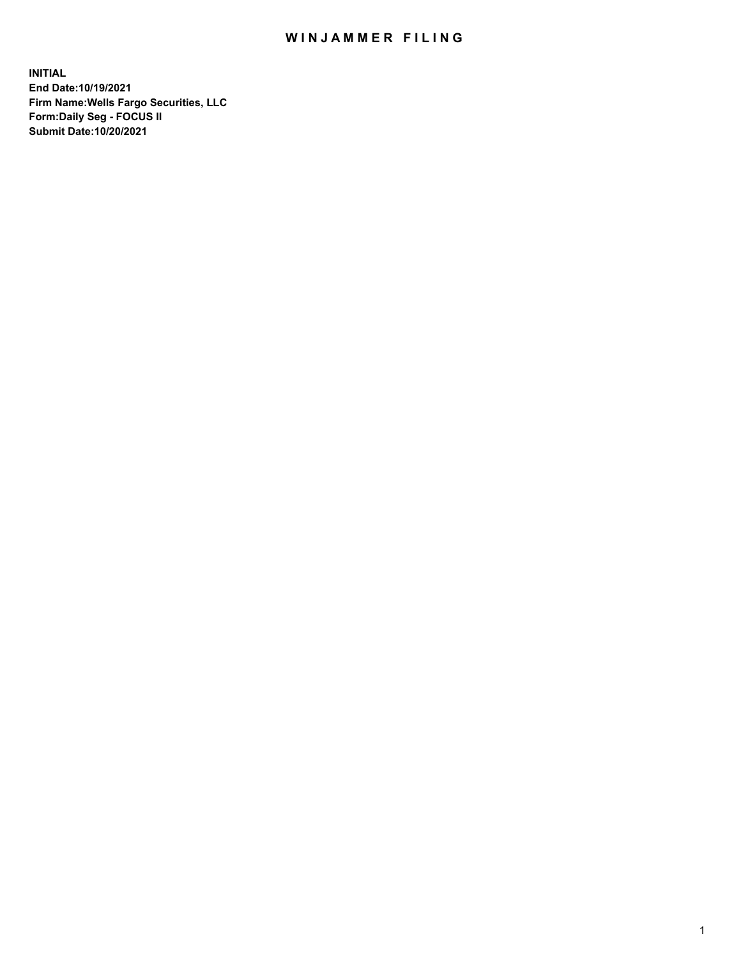## WIN JAMMER FILING

**INITIAL End Date:10/19/2021 Firm Name:Wells Fargo Securities, LLC Form:Daily Seg - FOCUS II Submit Date:10/20/2021**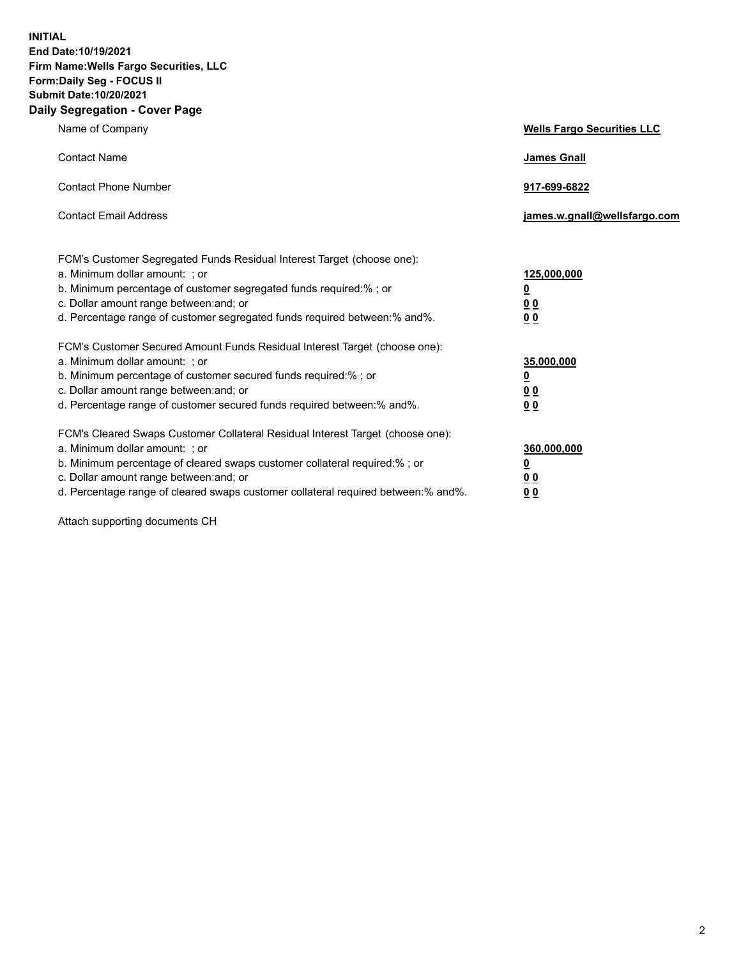**INITIAL End Date:10/19/2021 Firm Name:Wells Fargo Securities, LLC Form:Daily Seg - FOCUS II Submit Date:10/20/2021 Daily Segregation - Cover Page**

| Name of Company                                                                                                                                                                                                                                                                                                               | <b>Wells Fargo Securities LLC</b>                          |
|-------------------------------------------------------------------------------------------------------------------------------------------------------------------------------------------------------------------------------------------------------------------------------------------------------------------------------|------------------------------------------------------------|
| <b>Contact Name</b>                                                                                                                                                                                                                                                                                                           | <b>James Gnall</b>                                         |
| <b>Contact Phone Number</b>                                                                                                                                                                                                                                                                                                   | 917-699-6822                                               |
| <b>Contact Email Address</b>                                                                                                                                                                                                                                                                                                  | james.w.gnall@wellsfargo.com                               |
| FCM's Customer Segregated Funds Residual Interest Target (choose one):<br>a. Minimum dollar amount: ; or<br>b. Minimum percentage of customer segregated funds required:% ; or<br>c. Dollar amount range between: and; or<br>d. Percentage range of customer segregated funds required between:% and%.                        | 125,000,000<br><u>0</u><br>0 <sub>0</sub><br>00            |
| FCM's Customer Secured Amount Funds Residual Interest Target (choose one):<br>a. Minimum dollar amount: ; or<br>b. Minimum percentage of customer secured funds required:%; or<br>c. Dollar amount range between: and; or<br>d. Percentage range of customer secured funds required between:% and%.                           | 35,000,000<br><u>0</u><br>0 <sub>0</sub><br>0 <sub>0</sub> |
| FCM's Cleared Swaps Customer Collateral Residual Interest Target (choose one):<br>a. Minimum dollar amount: ; or<br>b. Minimum percentage of cleared swaps customer collateral required:%; or<br>c. Dollar amount range between: and; or<br>d. Percentage range of cleared swaps customer collateral required between:% and%. | 360,000,000<br><u>0</u><br>0 Q<br>00                       |

Attach supporting documents CH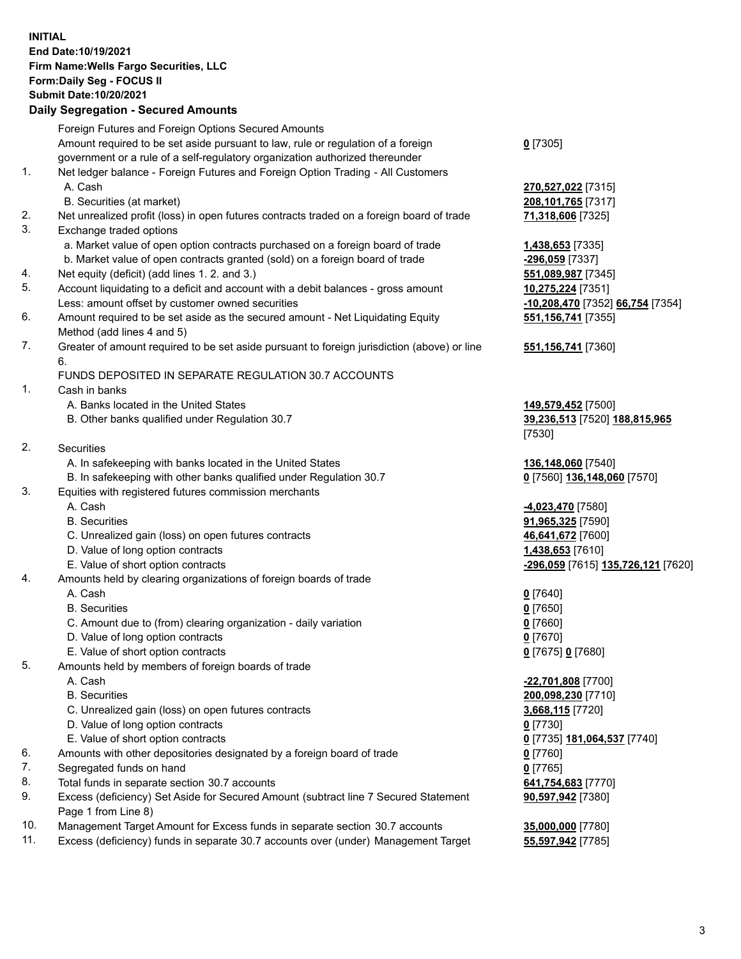**INITIAL End Date:10/19/2021 Firm Name:Wells Fargo Securities, LLC Form:Daily Seg - FOCUS II Submit Date:10/20/2021**

## **Daily Segregation - Secured Amounts**

|     | Foreign Futures and Foreign Options Secured Amounts                                                        |                                    |
|-----|------------------------------------------------------------------------------------------------------------|------------------------------------|
|     | Amount required to be set aside pursuant to law, rule or regulation of a foreign                           | $0$ [7305]                         |
|     | government or a rule of a self-regulatory organization authorized thereunder                               |                                    |
| 1.  | Net ledger balance - Foreign Futures and Foreign Option Trading - All Customers                            |                                    |
|     | A. Cash                                                                                                    | 270,527,022 [7315]                 |
|     | B. Securities (at market)                                                                                  | 208,101,765 [7317]                 |
| 2.  | Net unrealized profit (loss) in open futures contracts traded on a foreign board of trade                  | 71,318,606 [7325]                  |
| 3.  | Exchange traded options                                                                                    |                                    |
|     | a. Market value of open option contracts purchased on a foreign board of trade                             | 1,438,653 [7335]                   |
|     | b. Market value of open contracts granted (sold) on a foreign board of trade                               | -296,059 [7337]                    |
| 4.  | Net equity (deficit) (add lines 1. 2. and 3.)                                                              | 551,089,987 [7345]                 |
| 5.  | Account liquidating to a deficit and account with a debit balances - gross amount                          | 10,275,224 [7351]                  |
|     | Less: amount offset by customer owned securities                                                           | -10,208,470 [7352] 66,754 [7354]   |
| 6.  | Amount required to be set aside as the secured amount - Net Liquidating Equity                             | 551, 156, 741 [7355]               |
|     | Method (add lines 4 and 5)                                                                                 |                                    |
| 7.  | Greater of amount required to be set aside pursuant to foreign jurisdiction (above) or line                | 551,156,741 [7360]                 |
|     | 6.                                                                                                         |                                    |
|     | FUNDS DEPOSITED IN SEPARATE REGULATION 30.7 ACCOUNTS                                                       |                                    |
| 1.  | Cash in banks                                                                                              |                                    |
|     | A. Banks located in the United States                                                                      | 149,579,452 [7500]                 |
|     | B. Other banks qualified under Regulation 30.7                                                             | 39,236,513 [7520] 188,815,965      |
|     |                                                                                                            | [7530]                             |
| 2.  | Securities                                                                                                 |                                    |
|     | A. In safekeeping with banks located in the United States                                                  | 136,148,060 [7540]                 |
|     | B. In safekeeping with other banks qualified under Regulation 30.7                                         | 0 [7560] 136,148,060 [7570]        |
| 3.  | Equities with registered futures commission merchants                                                      |                                    |
|     | A. Cash                                                                                                    | -4,023,470 [7580]                  |
|     | <b>B.</b> Securities                                                                                       | 91,965,325 [7590]                  |
|     | C. Unrealized gain (loss) on open futures contracts                                                        | 46,641,672 [7600]                  |
|     | D. Value of long option contracts                                                                          | 1,438,653 [7610]                   |
|     | E. Value of short option contracts                                                                         | -296,059 [7615] 135,726,121 [7620] |
| 4.  | Amounts held by clearing organizations of foreign boards of trade                                          |                                    |
|     | A. Cash                                                                                                    | $0$ [7640]                         |
|     | <b>B.</b> Securities                                                                                       | $0$ [7650]                         |
|     | C. Amount due to (from) clearing organization - daily variation                                            | $0$ [7660]                         |
|     | D. Value of long option contracts                                                                          | $0$ [7670]                         |
|     | E. Value of short option contracts                                                                         | 0 [7675] 0 [7680]                  |
| 5.  | Amounts held by members of foreign boards of trade                                                         |                                    |
|     | A. Cash                                                                                                    | -22,701,808 [7700]                 |
|     | <b>B.</b> Securities                                                                                       | 200,098,230 [7710]                 |
|     | C. Unrealized gain (loss) on open futures contracts                                                        | 3,668,115 [7720]                   |
|     | D. Value of long option contracts                                                                          | $0$ [7730]                         |
|     | E. Value of short option contracts                                                                         | 0 [7735] 181,064,537 [7740]        |
| 6.  | Amounts with other depositories designated by a foreign board of trade                                     | 0 [7760]                           |
| 7.  | Segregated funds on hand                                                                                   | $0$ [7765]                         |
| 8.  | Total funds in separate section 30.7 accounts                                                              | 641,754,683 [7770]                 |
| 9.  | Excess (deficiency) Set Aside for Secured Amount (subtract line 7 Secured Statement<br>Page 1 from Line 8) | 90,597,942 [7380]                  |
| 10. | Management Target Amount for Excess funds in separate section 30.7 accounts                                | 35,000,000 [7780]                  |

- 
- 11. Excess (deficiency) funds in separate 30.7 accounts over (under) Management Target **55,597,942** [7785]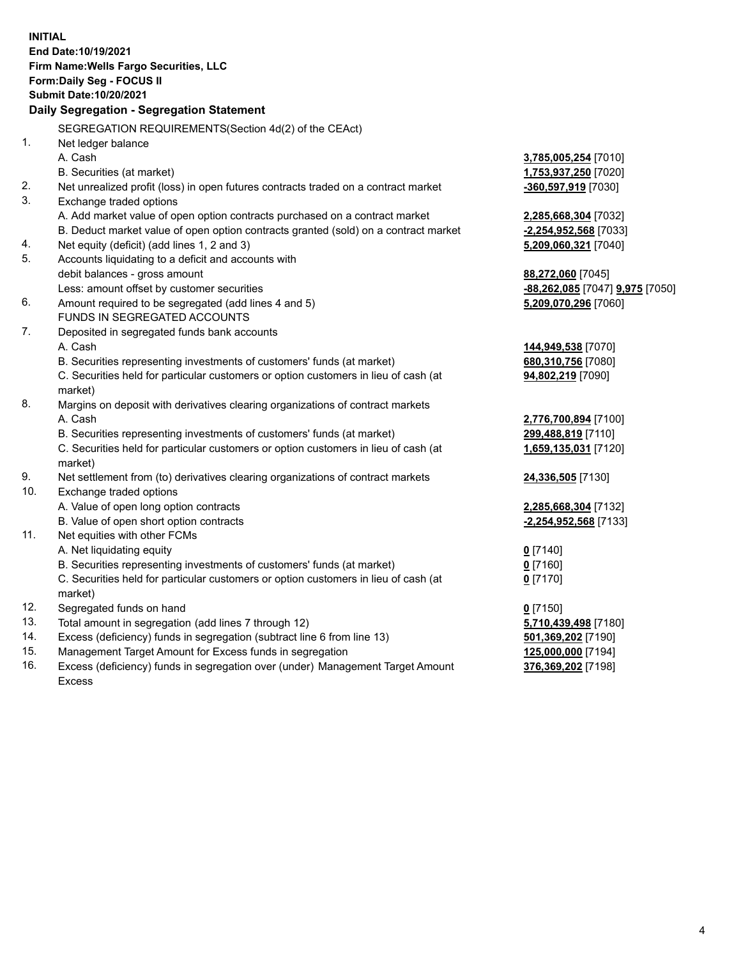**INITIAL End Date:10/19/2021 Firm Name:Wells Fargo Securities, LLC Form:Daily Seg - FOCUS II Submit Date:10/20/2021 Daily Segregation - Segregation Statement** SEGREGATION REQUIREMENTS(Section 4d(2) of the CEAct) 1. Net ledger balance A. Cash **3,785,005,254** [7010] B. Securities (at market) **1,753,937,250** [7020] 2. Net unrealized profit (loss) in open futures contracts traded on a contract market **-360,597,919** [7030] 3. Exchange traded options A. Add market value of open option contracts purchased on a contract market **2,285,668,304** [7032] B. Deduct market value of open option contracts granted (sold) on a contract market **-2,254,952,568** [7033] 4. Net equity (deficit) (add lines 1, 2 and 3) **5,209,060,321** [7040] 5. Accounts liquidating to a deficit and accounts with debit balances - gross amount **88,272,060** [7045] Less: amount offset by customer securities **-88,262,085** [7047] **9,975** [7050] 6. Amount required to be segregated (add lines 4 and 5) **5,209,070,296** [7060] FUNDS IN SEGREGATED ACCOUNTS 7. Deposited in segregated funds bank accounts A. Cash **144,949,538** [7070] B. Securities representing investments of customers' funds (at market) **680,310,756** [7080] C. Securities held for particular customers or option customers in lieu of cash (at market) **94,802,219** [7090] 8. Margins on deposit with derivatives clearing organizations of contract markets A. Cash **2,776,700,894** [7100] B. Securities representing investments of customers' funds (at market) **299,488,819** [7110] C. Securities held for particular customers or option customers in lieu of cash (at market) **1,659,135,031** [7120] 9. Net settlement from (to) derivatives clearing organizations of contract markets **24,336,505** [7130] 10. Exchange traded options A. Value of open long option contracts **2,285,668,304** [7132] B. Value of open short option contracts **-2,254,952,568** [7133] 11. Net equities with other FCMs A. Net liquidating equity **0** [7140] B. Securities representing investments of customers' funds (at market) **0** [7160] C. Securities held for particular customers or option customers in lieu of cash (at market) **0** [7170] 12. Segregated funds on hand **0** [7150] 13. Total amount in segregation (add lines 7 through 12) **5,710,439,498** [7180] 14. Excess (deficiency) funds in segregation (subtract line 6 from line 13) **501,369,202** [7190] 15. Management Target Amount for Excess funds in segregation **125,000,000** [7194]

16. Excess (deficiency) funds in segregation over (under) Management Target Amount Excess

**376,369,202** [7198]